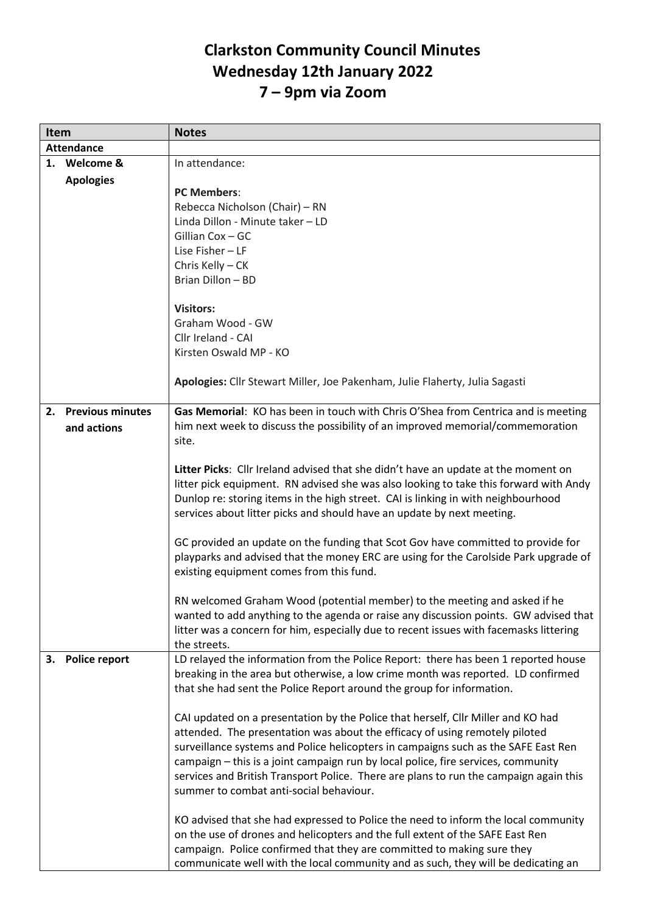## **Clarkston Community Council Minutes Wednesday 12th January 2022 7 – 9pm via Zoom**

| Item              |                         | <b>Notes</b>                                                                           |
|-------------------|-------------------------|----------------------------------------------------------------------------------------|
| <b>Attendance</b> |                         |                                                                                        |
|                   | 1. Welcome &            | In attendance:                                                                         |
|                   | <b>Apologies</b>        |                                                                                        |
|                   |                         | <b>PC Members:</b>                                                                     |
|                   |                         | Rebecca Nicholson (Chair) - RN                                                         |
|                   |                         | Linda Dillon - Minute taker - LD                                                       |
|                   |                         | Gillian Cox - GC                                                                       |
|                   |                         | Lise Fisher - LF                                                                       |
|                   |                         | Chris Kelly - CK                                                                       |
|                   |                         | Brian Dillon - BD                                                                      |
|                   |                         |                                                                                        |
|                   |                         | <b>Visitors:</b>                                                                       |
|                   |                         | Graham Wood - GW                                                                       |
|                   |                         | Cllr Ireland - CAI                                                                     |
|                   |                         | Kirsten Oswald MP - KO                                                                 |
|                   |                         |                                                                                        |
|                   |                         | Apologies: Cllr Stewart Miller, Joe Pakenham, Julie Flaherty, Julia Sagasti            |
|                   |                         |                                                                                        |
| 2.                | <b>Previous minutes</b> | Gas Memorial: KO has been in touch with Chris O'Shea from Centrica and is meeting      |
|                   | and actions             | him next week to discuss the possibility of an improved memorial/commemoration         |
|                   |                         | site.                                                                                  |
|                   |                         |                                                                                        |
|                   |                         | Litter Picks: Cllr Ireland advised that she didn't have an update at the moment on     |
|                   |                         | litter pick equipment. RN advised she was also looking to take this forward with Andy  |
|                   |                         | Dunlop re: storing items in the high street. CAI is linking in with neighbourhood      |
|                   |                         | services about litter picks and should have an update by next meeting.                 |
|                   |                         |                                                                                        |
|                   |                         | GC provided an update on the funding that Scot Gov have committed to provide for       |
|                   |                         | playparks and advised that the money ERC are using for the Carolside Park upgrade of   |
|                   |                         | existing equipment comes from this fund.                                               |
|                   |                         |                                                                                        |
|                   |                         | RN welcomed Graham Wood (potential member) to the meeting and asked if he              |
|                   |                         | wanted to add anything to the agenda or raise any discussion points. GW advised that   |
|                   |                         | litter was a concern for him, especially due to recent issues with facemasks littering |
|                   |                         | the streets.                                                                           |
| 3.                | <b>Police report</b>    | LD relayed the information from the Police Report: there has been 1 reported house     |
|                   |                         | breaking in the area but otherwise, a low crime month was reported. LD confirmed       |
|                   |                         | that she had sent the Police Report around the group for information.                  |
|                   |                         |                                                                                        |
|                   |                         | CAI updated on a presentation by the Police that herself, CIIr Miller and KO had       |
|                   |                         | attended. The presentation was about the efficacy of using remotely piloted            |
|                   |                         | surveillance systems and Police helicopters in campaigns such as the SAFE East Ren     |
|                   |                         | campaign - this is a joint campaign run by local police, fire services, community      |
|                   |                         | services and British Transport Police. There are plans to run the campaign again this  |
|                   |                         | summer to combat anti-social behaviour.                                                |
|                   |                         |                                                                                        |
|                   |                         | KO advised that she had expressed to Police the need to inform the local community     |
|                   |                         | on the use of drones and helicopters and the full extent of the SAFE East Ren          |
|                   |                         | campaign. Police confirmed that they are committed to making sure they                 |
|                   |                         | communicate well with the local community and as such, they will be dedicating an      |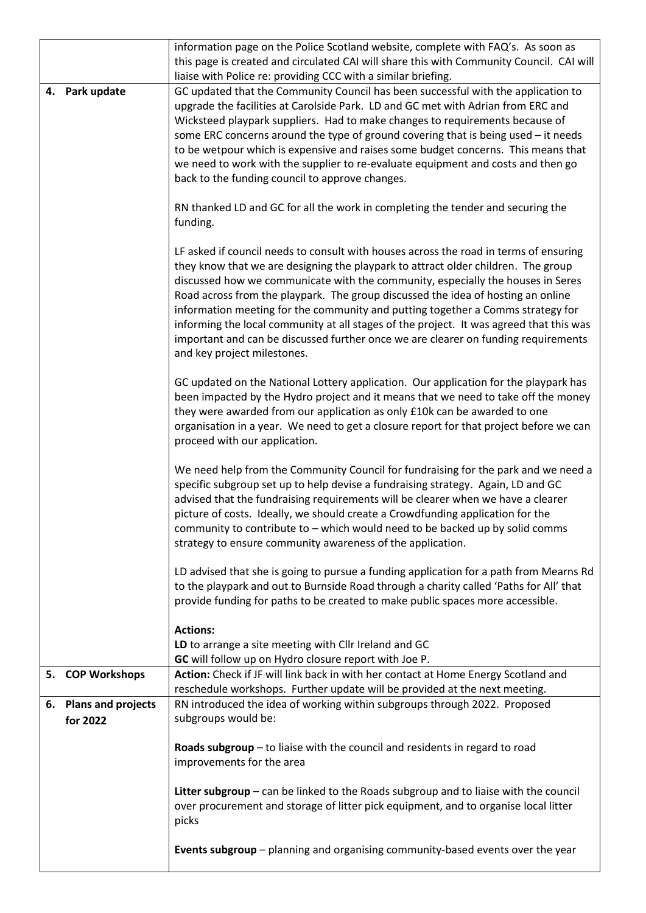|    |                           | information page on the Police Scotland website, complete with FAQ's. As soon as<br>this page is created and circulated CAI will share this with Community Council. CAI will<br>liaise with Police re: providing CCC with a similar briefing.                                                                                                                                                                                                                                                                                                                                                                                                        |
|----|---------------------------|------------------------------------------------------------------------------------------------------------------------------------------------------------------------------------------------------------------------------------------------------------------------------------------------------------------------------------------------------------------------------------------------------------------------------------------------------------------------------------------------------------------------------------------------------------------------------------------------------------------------------------------------------|
| 4. | Park update               | GC updated that the Community Council has been successful with the application to<br>upgrade the facilities at Carolside Park. LD and GC met with Adrian from ERC and<br>Wicksteed playpark suppliers. Had to make changes to requirements because of<br>some ERC concerns around the type of ground covering that is being used - it needs<br>to be wetpour which is expensive and raises some budget concerns. This means that<br>we need to work with the supplier to re-evaluate equipment and costs and then go<br>back to the funding council to approve changes.                                                                              |
|    |                           | RN thanked LD and GC for all the work in completing the tender and securing the<br>funding.                                                                                                                                                                                                                                                                                                                                                                                                                                                                                                                                                          |
|    |                           | LF asked if council needs to consult with houses across the road in terms of ensuring<br>they know that we are designing the playpark to attract older children. The group<br>discussed how we communicate with the community, especially the houses in Seres<br>Road across from the playpark. The group discussed the idea of hosting an online<br>information meeting for the community and putting together a Comms strategy for<br>informing the local community at all stages of the project. It was agreed that this was<br>important and can be discussed further once we are clearer on funding requirements<br>and key project milestones. |
|    |                           | GC updated on the National Lottery application. Our application for the playpark has<br>been impacted by the Hydro project and it means that we need to take off the money<br>they were awarded from our application as only £10k can be awarded to one<br>organisation in a year. We need to get a closure report for that project before we can<br>proceed with our application.                                                                                                                                                                                                                                                                   |
|    |                           | We need help from the Community Council for fundraising for the park and we need a<br>specific subgroup set up to help devise a fundraising strategy. Again, LD and GC<br>advised that the fundraising requirements will be clearer when we have a clearer<br>picture of costs. Ideally, we should create a Crowdfunding application for the<br>community to contribute to - which would need to be backed up by solid comms<br>strategy to ensure community awareness of the application.                                                                                                                                                           |
|    |                           | LD advised that she is going to pursue a funding application for a path from Mearns Rd<br>to the playpark and out to Burnside Road through a charity called 'Paths for All' that<br>provide funding for paths to be created to make public spaces more accessible.                                                                                                                                                                                                                                                                                                                                                                                   |
|    |                           | <b>Actions:</b>                                                                                                                                                                                                                                                                                                                                                                                                                                                                                                                                                                                                                                      |
|    |                           | LD to arrange a site meeting with Cllr Ireland and GC<br>GC will follow up on Hydro closure report with Joe P.                                                                                                                                                                                                                                                                                                                                                                                                                                                                                                                                       |
| 5. | <b>COP Workshops</b>      | Action: Check if JF will link back in with her contact at Home Energy Scotland and<br>reschedule workshops. Further update will be provided at the next meeting.                                                                                                                                                                                                                                                                                                                                                                                                                                                                                     |
| 6. | <b>Plans and projects</b> | RN introduced the idea of working within subgroups through 2022. Proposed                                                                                                                                                                                                                                                                                                                                                                                                                                                                                                                                                                            |
|    | for 2022                  | subgroups would be:                                                                                                                                                                                                                                                                                                                                                                                                                                                                                                                                                                                                                                  |
|    |                           | Roads subgroup - to liaise with the council and residents in regard to road<br>improvements for the area                                                                                                                                                                                                                                                                                                                                                                                                                                                                                                                                             |
|    |                           | Litter subgroup - can be linked to the Roads subgroup and to liaise with the council<br>over procurement and storage of litter pick equipment, and to organise local litter<br>picks                                                                                                                                                                                                                                                                                                                                                                                                                                                                 |
|    |                           | Events subgroup - planning and organising community-based events over the year                                                                                                                                                                                                                                                                                                                                                                                                                                                                                                                                                                       |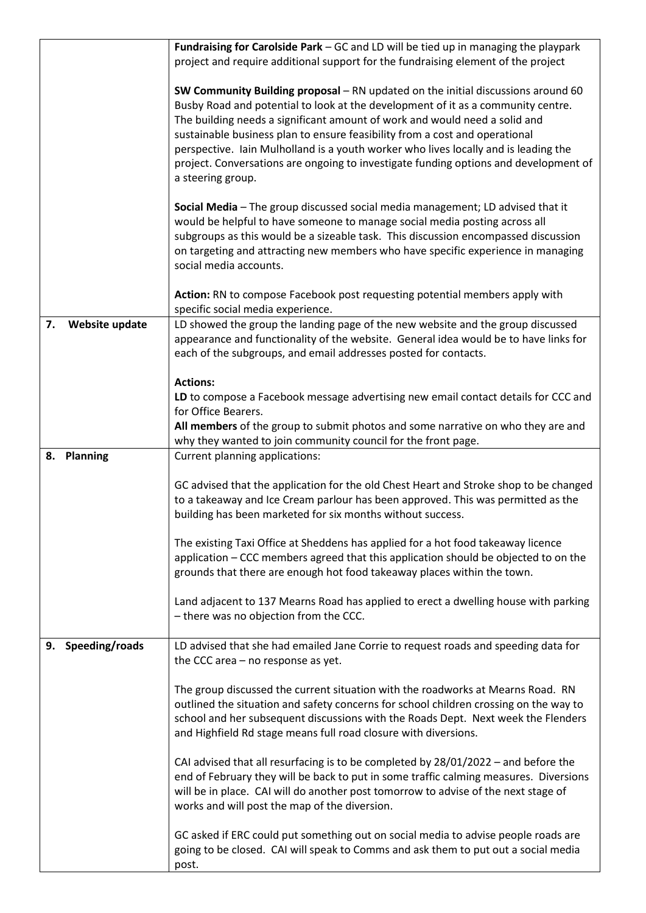|                      | Fundraising for Carolside Park - GC and LD will be tied up in managing the playpark<br>project and require additional support for the fundraising element of the project                                                                                                                                                                                                                                                                                                                                                              |
|----------------------|---------------------------------------------------------------------------------------------------------------------------------------------------------------------------------------------------------------------------------------------------------------------------------------------------------------------------------------------------------------------------------------------------------------------------------------------------------------------------------------------------------------------------------------|
|                      | SW Community Building proposal - RN updated on the initial discussions around 60<br>Busby Road and potential to look at the development of it as a community centre.<br>The building needs a significant amount of work and would need a solid and<br>sustainable business plan to ensure feasibility from a cost and operational<br>perspective. Iain Mulholland is a youth worker who lives locally and is leading the<br>project. Conversations are ongoing to investigate funding options and development of<br>a steering group. |
|                      | Social Media - The group discussed social media management; LD advised that it<br>would be helpful to have someone to manage social media posting across all<br>subgroups as this would be a sizeable task. This discussion encompassed discussion<br>on targeting and attracting new members who have specific experience in managing<br>social media accounts.                                                                                                                                                                      |
|                      | Action: RN to compose Facebook post requesting potential members apply with<br>specific social media experience.                                                                                                                                                                                                                                                                                                                                                                                                                      |
| Website update<br>7. | LD showed the group the landing page of the new website and the group discussed<br>appearance and functionality of the website. General idea would be to have links for<br>each of the subgroups, and email addresses posted for contacts.                                                                                                                                                                                                                                                                                            |
|                      | <b>Actions:</b><br>LD to compose a Facebook message advertising new email contact details for CCC and                                                                                                                                                                                                                                                                                                                                                                                                                                 |
|                      | for Office Bearers.                                                                                                                                                                                                                                                                                                                                                                                                                                                                                                                   |
|                      | All members of the group to submit photos and some narrative on who they are and<br>why they wanted to join community council for the front page.                                                                                                                                                                                                                                                                                                                                                                                     |
| 8. Planning          | Current planning applications:                                                                                                                                                                                                                                                                                                                                                                                                                                                                                                        |
|                      | GC advised that the application for the old Chest Heart and Stroke shop to be changed<br>to a takeaway and Ice Cream parlour has been approved. This was permitted as the<br>building has been marketed for six months without success.                                                                                                                                                                                                                                                                                               |
|                      | The existing Taxi Office at Sheddens has applied for a hot food takeaway licence<br>application - CCC members agreed that this application should be objected to on the<br>grounds that there are enough hot food takeaway places within the town.                                                                                                                                                                                                                                                                                    |
|                      | Land adjacent to 137 Mearns Road has applied to erect a dwelling house with parking<br>- there was no objection from the CCC.                                                                                                                                                                                                                                                                                                                                                                                                         |
| 9. Speeding/roads    | LD advised that she had emailed Jane Corrie to request roads and speeding data for<br>the CCC area - no response as yet.                                                                                                                                                                                                                                                                                                                                                                                                              |
|                      | The group discussed the current situation with the roadworks at Mearns Road. RN<br>outlined the situation and safety concerns for school children crossing on the way to<br>school and her subsequent discussions with the Roads Dept. Next week the Flenders<br>and Highfield Rd stage means full road closure with diversions.                                                                                                                                                                                                      |
|                      | CAI advised that all resurfacing is to be completed by $28/01/2022$ – and before the<br>end of February they will be back to put in some traffic calming measures. Diversions<br>will be in place. CAI will do another post tomorrow to advise of the next stage of<br>works and will post the map of the diversion.                                                                                                                                                                                                                  |
|                      | GC asked if ERC could put something out on social media to advise people roads are<br>going to be closed. CAI will speak to Comms and ask them to put out a social media<br>post.                                                                                                                                                                                                                                                                                                                                                     |